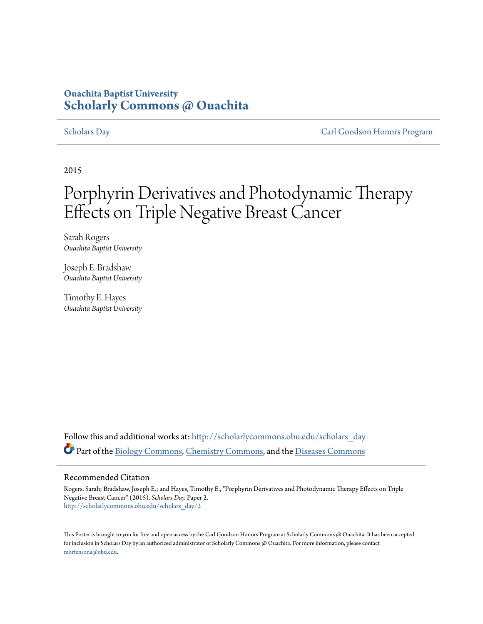### **Ouachita Baptist University [Scholarly Commons @ Ouachita](http://scholarlycommons.obu.edu?utm_source=scholarlycommons.obu.edu%2Fscholars_day%2F2&utm_medium=PDF&utm_campaign=PDFCoverPages)**

[Scholars Day](http://scholarlycommons.obu.edu/scholars_day?utm_source=scholarlycommons.obu.edu%2Fscholars_day%2F2&utm_medium=PDF&utm_campaign=PDFCoverPages) [Carl Goodson Honors Program](http://scholarlycommons.obu.edu/honors?utm_source=scholarlycommons.obu.edu%2Fscholars_day%2F2&utm_medium=PDF&utm_campaign=PDFCoverPages)

2015

### Porphyrin Derivatives and Photodynamic Therapy Effects on Triple Negative Breast Cancer

Sarah Rogers *Ouachita Baptist University*

Joseph E. Bradshaw *Ouachita Baptist University*

Timothy E. Hayes *Ouachita Baptist University*

Follow this and additional works at: [http://scholarlycommons.obu.edu/scholars\\_day](http://scholarlycommons.obu.edu/scholars_day?utm_source=scholarlycommons.obu.edu%2Fscholars_day%2F2&utm_medium=PDF&utm_campaign=PDFCoverPages) Part of the [Biology Commons,](http://network.bepress.com/hgg/discipline/41?utm_source=scholarlycommons.obu.edu%2Fscholars_day%2F2&utm_medium=PDF&utm_campaign=PDFCoverPages) [Chemistry Commons,](http://network.bepress.com/hgg/discipline/131?utm_source=scholarlycommons.obu.edu%2Fscholars_day%2F2&utm_medium=PDF&utm_campaign=PDFCoverPages) and the [Diseases Commons](http://network.bepress.com/hgg/discipline/813?utm_source=scholarlycommons.obu.edu%2Fscholars_day%2F2&utm_medium=PDF&utm_campaign=PDFCoverPages)

### Recommended Citation

Rogers, Sarah; Bradshaw, Joseph E.; and Hayes, Timothy E., "Porphyrin Derivatives and Photodynamic Therapy Effects on Triple Negative Breast Cancer" (2015). *Scholars Day.* Paper 2. [http://scholarlycommons.obu.edu/scholars\\_day/2](http://scholarlycommons.obu.edu/scholars_day/2?utm_source=scholarlycommons.obu.edu%2Fscholars_day%2F2&utm_medium=PDF&utm_campaign=PDFCoverPages)

This Poster is brought to you for free and open access by the Carl Goodson Honors Program at Scholarly Commons @ Ouachita. It has been accepted for inclusion in Scholars Day by an authorized administrator of Scholarly Commons @ Ouachita. For more information, please contact [mortensona@obu.edu](mailto:mortensona@obu.edu).